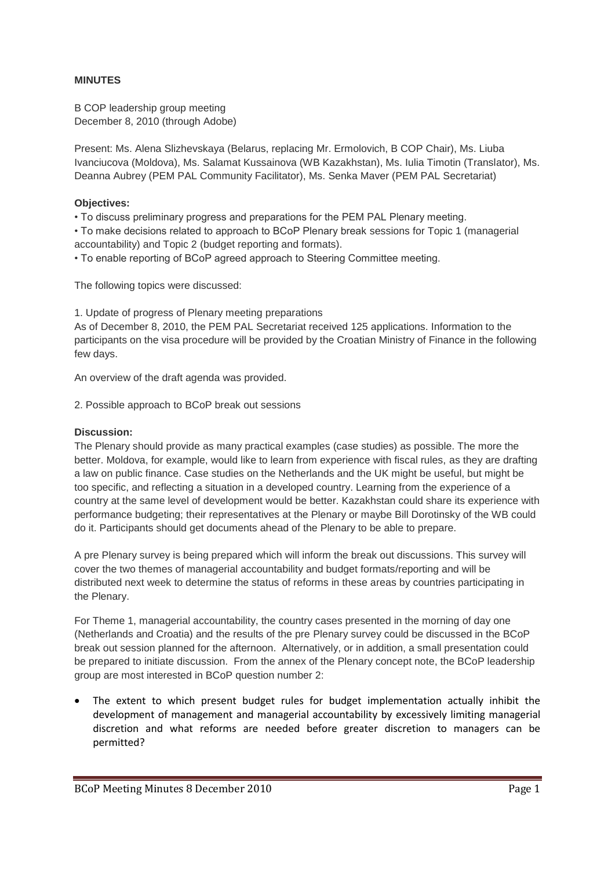## **MINUTES**

B COP leadership group meeting December 8, 2010 (through Adobe)

Present: Ms. Alena Slizhevskaya (Belarus, replacing Mr. Ermolovich, B COP Chair), Ms. Liuba Ivanciucova (Moldova), Ms. Salamat Kussainova (WB Kazakhstan), Ms. Iulia Timotin (Translator), Ms. Deanna Aubrey (PEM PAL Community Facilitator), Ms. Senka Maver (PEM PAL Secretariat)

## **Objectives:**

• To discuss preliminary progress and preparations for the PEM PAL Plenary meeting.

• To make decisions related to approach to BCoP Plenary break sessions for Topic 1 (managerial accountability) and Topic 2 (budget reporting and formats).

• To enable reporting of BCoP agreed approach to Steering Committee meeting.

The following topics were discussed:

1. Update of progress of Plenary meeting preparations

As of December 8, 2010, the PEM PAL Secretariat received 125 applications. Information to the participants on the visa procedure will be provided by the Croatian Ministry of Finance in the following few days.

An overview of the draft agenda was provided.

2. Possible approach to BCoP break out sessions

## **Discussion:**

The Plenary should provide as many practical examples (case studies) as possible. The more the better. Moldova, for example, would like to learn from experience with fiscal rules, as they are drafting a law on public finance. Case studies on the Netherlands and the UK might be useful, but might be too specific, and reflecting a situation in a developed country. Learning from the experience of a country at the same level of development would be better. Kazakhstan could share its experience with performance budgeting; their representatives at the Plenary or maybe Bill Dorotinsky of the WB could do it. Participants should get documents ahead of the Plenary to be able to prepare.

A pre Plenary survey is being prepared which will inform the break out discussions. This survey will cover the two themes of managerial accountability and budget formats/reporting and will be distributed next week to determine the status of reforms in these areas by countries participating in the Plenary.

For Theme 1, managerial accountability, the country cases presented in the morning of day one (Netherlands and Croatia) and the results of the pre Plenary survey could be discussed in the BCoP break out session planned for the afternoon. Alternatively, or in addition, a small presentation could be prepared to initiate discussion. From the annex of the Plenary concept note, the BCoP leadership group are most interested in BCoP question number 2:

 The extent to which present budget rules for budget implementation actually inhibit the development of management and managerial accountability by excessively limiting managerial discretion and what reforms are needed before greater discretion to managers can be permitted?